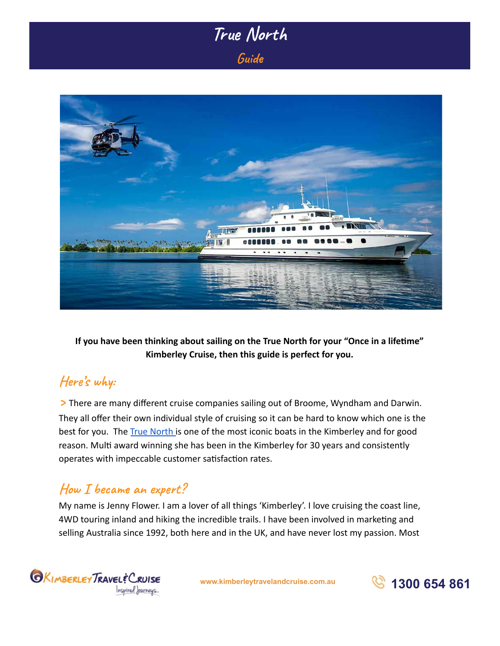# True North Guide



**If you have been thinking about sailing on the True North for your "Once in a lifeme" Kimberley Cruise, then this guide is perfect for you.** 

## Here's why:

**>** There are many different cruise companies sailing out of Broome, Wyndham and Darwin. They all offer their own individual style of cruising so it can be hard to know which one is the best for you. The [True North i](https://kimberleytravelandcruise.com.au/ship/true-north/)s one of the most iconic boats in the Kimberley and for good reason. Multi award winning she has been in the Kimberley for 30 years and consistently operates with impeccable customer satisfaction rates.

## How I became an expert?

My name is Jenny Flower. I am a lover of all things 'Kimberley'. I love cruising the coast line, 4WD touring inland and hiking the incredible trails. I have been involved in marketing and selling Australia since 1992, both here and in the UK, and have never lost my passion. Most



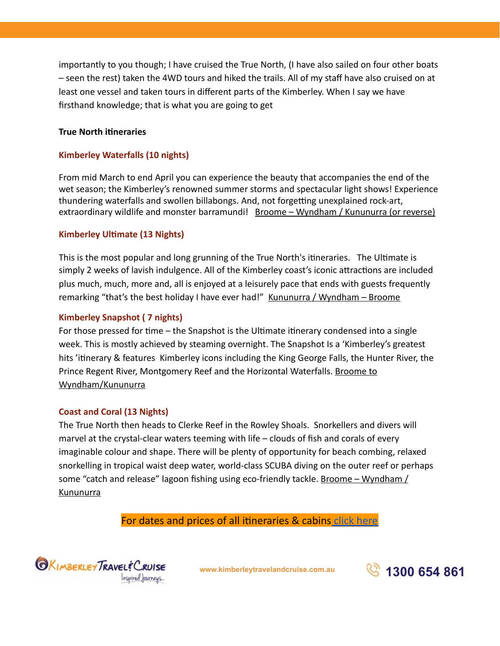importantly to you though; I have cruised the True North, (I have also sailed on four other boats – seen the rest) taken the 4WD tours and hiked the trails. All of my staff have also cruised on at least one vessel and taken tours in different parts of the Kimberley. When I say we have firsthand knowledge; that is what you are going to get

### **True North itineraries**

### **Kimberley Waterfalls (10 nights)**

From mid March to end April you can experience the beauty that accompanies the end of the wet season; the Kimberley's renowned summer storms and spectacular light shows! Experience thundering waterfalls and swollen billabongs. And, not forgetting unexplained rock-art, extraordinary wildlife and monster barramundi! Broome – Wyndham / Kununurra (or reverse)

### **Kimberley Ultimate (13 Nights)**

This is the most popular and long grunning of the True North's itineraries. The Ultimate is simply 2 weeks of lavish indulgence. All of the Kimberley coast's iconic attractions are included plus much, much, more and, all is enjoyed at a leisurely pace that ends with guests frequently remarking "that's the best holiday I have ever had!" Kununurra / Wyndham – Broome

#### **Kimberley Snapshot ( 7 nights)**

For those pressed for time – the Snapshot is the Ultimate itinerary condensed into a single week. This is mostly achieved by steaming overnight. The Snapshot Is a 'Kimberley's greatest hits 'itinerary & features Kimberley icons including the King George Falls, the Hunter River, the Prince Regent River, Montgomery Reef and the Horizontal Waterfalls. Broome to Wyndham/Kununurra

#### **Coast and Coral (13 Nights)**

The True North then heads to Clerke Reef in the Rowley Shoals. Snorkellers and divers will marvel at the crystal-clear waters teeming with life – clouds of fish and corals of every imaginable colour and shape. There will be plenty of opportunity for beach combing, relaxed snorkelling in tropical waist deep water, world-class SCUBA diving on the outer reef or perhaps some "catch and release" lagoon fishing using eco-friendly tackle. Broome – Wyndham / Kununurra

For dates and prices of all itineraries & cabins click here



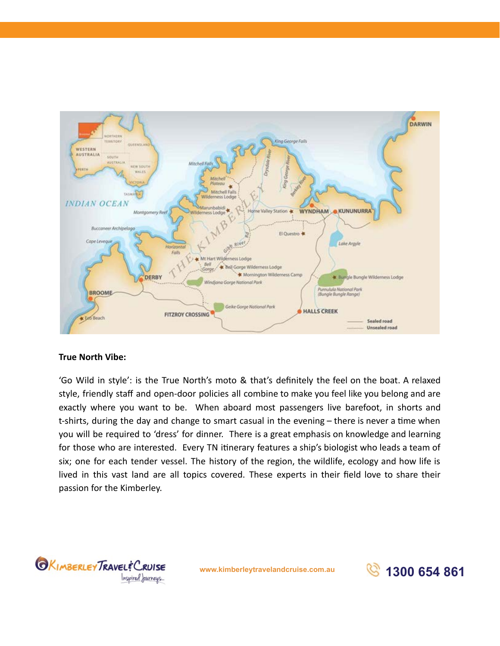

### **True North Vibe:**

'Go Wild in style': is the True North's moto & that's definitely the feel on the boat. A relaxed style, friendly staff and open-door policies all combine to make you feel like you belong and are exactly where you want to be. When aboard most passengers live barefoot, in shorts and t-shirts, during the day and change to smart casual in the evening  $-$  there is never a time when you will be required to 'dress' for dinner. There is a great emphasis on knowledge and learning for those who are interested. Every TN itinerary features a ship's biologist who leads a team of six; one for each tender vessel. The history of the region, the wildlife, ecology and how life is lived in this vast land are all topics covered. These experts in their field love to share their passion for the Kimberley.



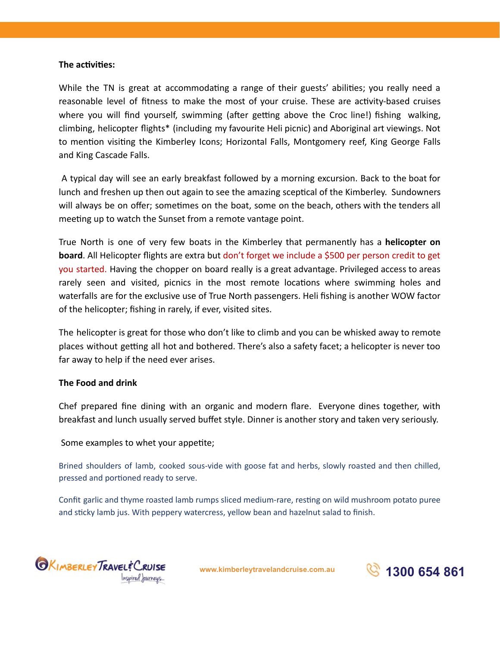#### **The activities:**

While the TN is great at accommodating a range of their guests' abilities; you really need a reasonable level of fitness to make the most of your cruise. These are activity-based cruises where you will find yourself, swimming (after getting above the Croc line!) fishing walking, climbing, helicopter flights\* (including my favourite Heli picnic) and Aboriginal art viewings. Not to mention visiting the Kimberley Icons; Horizontal Falls, Montgomery reef, King George Falls and King Cascade Falls.

 A typical day will see an early breakfast followed by a morning excursion. Back to the boat for lunch and freshen up then out again to see the amazing sceptical of the Kimberley. Sundowners will always be on offer; sometimes on the boat, some on the beach, others with the tenders all meeting up to watch the Sunset from a remote vantage point.

True North is one of very few boats in the Kimberley that permanently has a **helicopter on board** . All Helicopter flights are extra but don't forget we include a \$500 per person credit to get you started. Having the chopper on board really is a great advantage. Privileged access to areas rarely seen and visited, picnics in the most remote locations where swimming holes and waterfalls are for the exclusive use of True North passengers. Heli fishing is another WOW factor of the helicopter; fishing in rarely, if ever, visited sites.

The helicopter is great for those who don't like to climb and you can be whisked away to remote places without getting all hot and bothered. There's also a safety facet; a helicopter is never too far away to help if the need ever arises.

### **The Food and drink**

Chef prepared fine dining with an organic and modern flare. Everyone dines together, with breakfast and lunch usually served buffet style. Dinner is another story and taken very seriously.

#### Some examples to whet your appetite;

Brined shoulders of lamb, cooked sous-vide with goose fat and herbs, slowly roasted and then chilled, pressed and portioned ready to serve.

Confit garlic and thyme roasted lamb rumps sliced medium-rare, resting on wild mushroom potato puree and sticky lamb jus. With peppery watercress, yellow bean and hazelnut salad to finish.



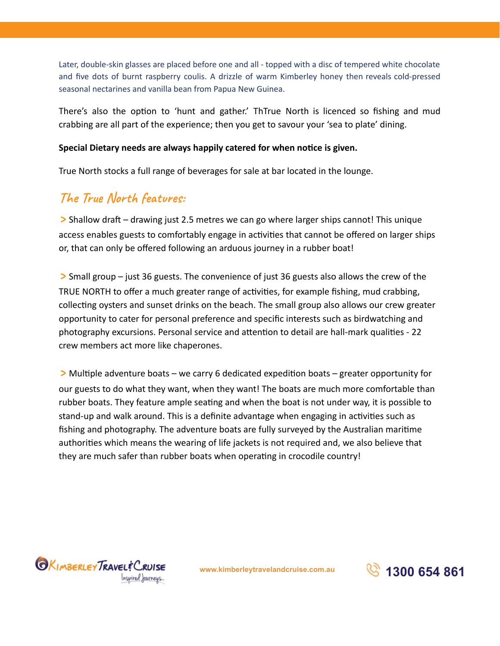Later, double-skin glasses are placed before one and all - topped with a disc of tempered white chocolate and five dots of burnt raspberry coulis. A drizzle of warm Kimberley honey then reveals cold-pressed seasonal nectarines and vanilla bean from Papua New Guinea.

There's also the option to 'hunt and gather.' ThTrue North is licenced so fishing and mud crabbing are all part of the experience; then you get to savour your 'sea to plate' dining.

### Special Dietary needs are always happily catered for when notice is given.

True North stocks a full range of beverages for sale at bar located in the lounge.

### **The True North features:**

**>** Shallow draft – drawing just 2.5 metres we can go where larger ships cannot! This unique access enables guests to comfortably engage in activities that cannot be offered on larger ships or, that can only be offered following an arduous journey in a rubber boat!

**>** Small group – just 36 guests. The convenience of just 36 guests also allows the crew of the TRUE NORTH to offer a much greater range of activities, for example fishing, mud crabbing, collecting oysters and sunset drinks on the beach. The small group also allows our crew greater opportunity to cater for personal preference and specific interests such as birdwatching and photography excursions. Personal service and attention to detail are hall-mark qualities - 22 crew members act more like chaperones.

**>** Multiple adventure boats – we carry 6 dedicated expedition boats – greater opportunity for our guests to do what they want, when they want! The boats are much more comfortable than rubber boats. They feature ample seating and when the boat is not under way, it is possible to stand-up and walk around. This is a definite advantage when engaging in activities such as fishing and photography. The adventure boats are fully surveyed by the Australian marime authorities which means the wearing of life jackets is not required and, we also believe that they are much safer than rubber boats when operating in crocodile country!



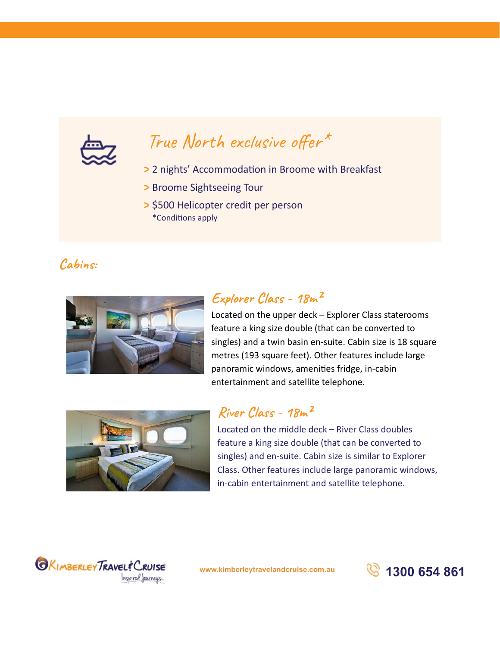

# True North exclusive offer\*

- > 2 nights' Accommodation in Broome with Breakfast
- **>** Broome Sightseeing Tour
- **>** \$500 Helicopter credit per person \*Conditions apply

### Cabins:



### Explorer Class - 18m<sup>2</sup>

Located on the upper deck – Explorer Class staterooms feature a king size double (that can be converted to singles) and a twin basin en-suite. Cabin size is 18 square metres (193 square feet). Other features include large panoramic windows, amenities fridge, in-cabin entertainment and satellite telephone.



### River Class - 18m<sup>2</sup>

Located on the middle deck – River Class doubles feature a king size double (that can be converted to singles) and en-suite. Cabin size is similar to Explorer Class. Other features include large panoramic windows, in-cabin entertainment and satellite telephone.



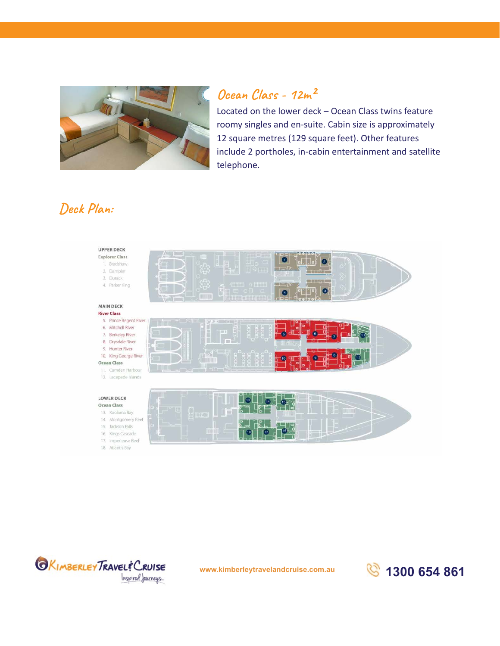

# Ocean Class - 12m<sup>2</sup>

Located on the lower deck – Ocean Class twins feature roomy singles and en-suite. Cabin size is approximately 12 square metres (129 square feet). Other features include 2 portholes, in-cabin entertainment and satellite telephone.

# Deck Plan:





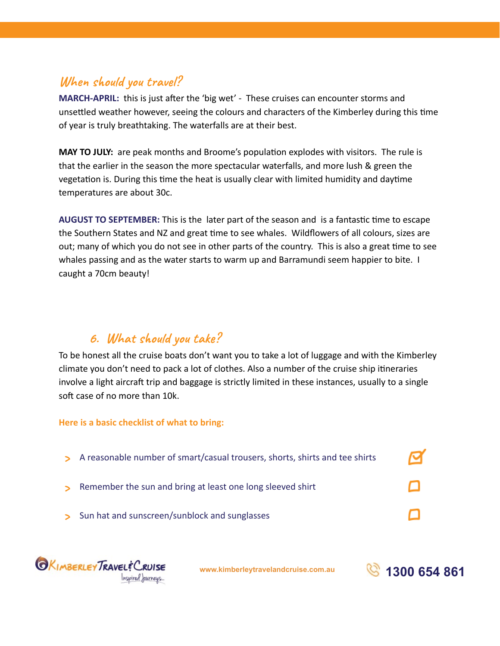## **When should you travel?**

**MARCH-APRIL:** this is just after the 'big wet' - These cruises can encounter storms and unsettled weather however, seeing the colours and characters of the Kimberley during this time of year is truly breathtaking. The waterfalls are at their best.

**MAY TO JULY:** are peak months and Broome's population explodes with visitors. The rule is that the earlier in the season the more spectacular waterfalls, and more lush & green the vegetation is. During this time the heat is usually clear with limited humidity and daytime temperatures are about 30c.

AUGUST TO SEPTEMBER: This is the later part of the season and is a fantastic time to escape the Southern States and NZ and great time to see whales. Wildflowers of all colours, sizes are out; many of which you do not see in other parts of the country. This is also a great time to see whales passing and as the water starts to warm up and Barramundi seem happier to bite. I caught a 70cm beauty!

### 6. What should you take?

To be honest all the cruise boats don't want you to take a lot of luggage and with the Kimberley climate you don't need to pack a lot of clothes. Also a number of the cruise ship itineraries involve a light aircraft trip and baggage is strictly limited in these instances, usually to a single soft case of no more than 10k.

### **Here is a basic checklist of what to bring:**

ਕ **>**  A reasonable number of smart/casual trousers, shorts, shirts and tee shirts **>** Remember the sun and bring at least one long sleeved shirt **>**  Sun hat and sunscreen/sunblock and sunglasses



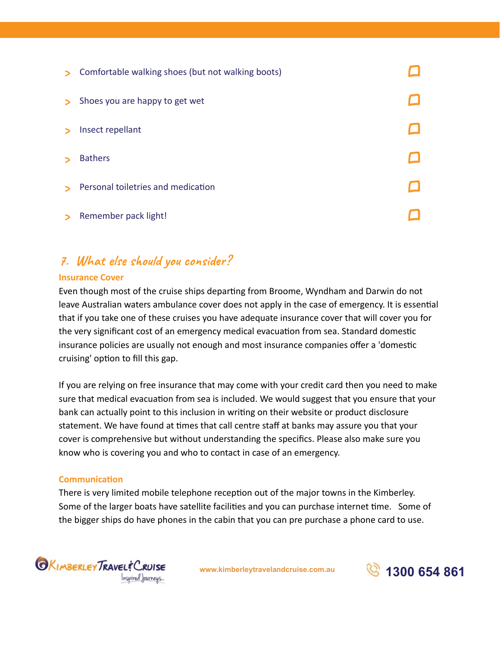| $\triangleright$ | Comfortable walking shoes (but not walking boots) |  |
|------------------|---------------------------------------------------|--|
| $\triangleright$ | Shoes you are happy to get wet                    |  |
|                  | Insect repellant                                  |  |
|                  | <b>Bathers</b>                                    |  |
|                  | Personal toiletries and medication                |  |
|                  | Remember pack light!                              |  |

# 7. What else should you consider?

### **Insurance Cover**

Even though most of the cruise ships departing from Broome, Wyndham and Darwin do not leave Australian waters ambulance cover does not apply in the case of emergency. It is essential that if you take one of these cruises you have adequate insurance cover that will cover you for the very significant cost of an emergency medical evacuation from sea. Standard domestic insurance policies are usually not enough and most insurance companies offer a 'domestic cruising' option to fill this gap.

If you are relying on free insurance that may come with your credit card then you need to make sure that medical evacuation from sea is included. We would suggest that you ensure that your bank can actually point to this inclusion in writing on their website or product disclosure statement. We have found at times that call centre staff at banks may assure you that your cover is comprehensive but without understanding the specifics. Please also make sure you know who is covering you and who to contact in case of an emergency.

### **Communication**

There is very limited mobile telephone reception out of the major towns in the Kimberley. Some of the larger boats have satellite facilities and you can purchase internet time. Some of the bigger ships do have phones in the cabin that you can pre purchase a phone card to use.



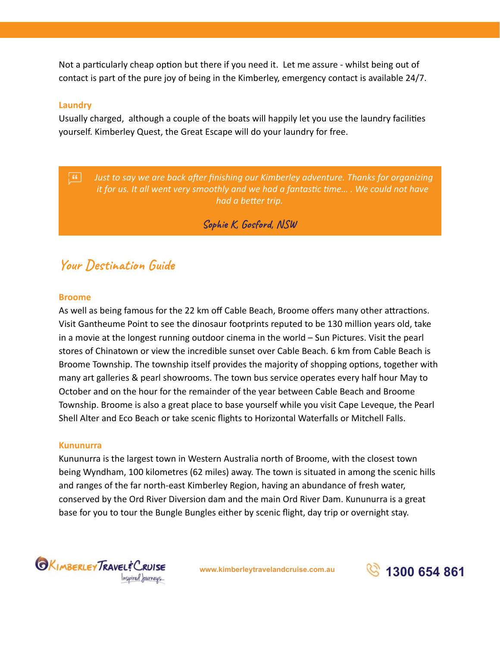Not a particularly cheap option but there if you need it. Let me assure - whilst being out of contact is part of the pure joy of being in the Kimberley, emergency contact is available 24/7.

#### **Laundry**

Usually charged, although a couple of the boats will happily let you use the laundry facilies yourself. Kimberley Quest, the Great Escape will do your laundry for free.

 $\overline{\mathbf{G}}$ *Just to say we are back after finishing our Kimberley adventure. Thanks for organizing it for us. It all went very smoothly and we had a fantastic time... . We could not have* had a better trip.

### Sophie K, Gosford, NSW

### **Your Destination Guide**

#### **Broome**

As well as being famous for the 22 km off Cable Beach, Broome offers many other attractions. Visit Gantheume Point to see the dinosaur footprints reputed to be 130 million years old, take in a movie at the longest running outdoor cinema in the world – Sun Pictures. Visit the pearl stores of Chinatown or view the incredible sunset over Cable Beach. 6 km from Cable Beach is Broome Township. The township itself provides the majority of shopping options, together with many art galleries & pearl showrooms. The town bus service operates every half hour May to October and on the hour for the remainder of the year between Cable Beach and Broome Township. Broome is also a great place to base yourself while you visit Cape Leveque, the Pearl Shell Alter and Eco Beach or take scenic flights to Horizontal Waterfalls or Mitchell Falls.

#### **Kununurra**

Kununurra is the largest town in Western Australia north of Broome, with the closest town being Wyndham, 100 kilometres (62 miles) away. The town is situated in among the scenic hills and ranges of the far north-east Kimberley Region, having an abundance of fresh water, conserved by the Ord River Diversion dam and the main Ord River Dam. Kununurra is a great base for you to tour the Bungle Bungles either by scenic flight, day trip or overnight stay.



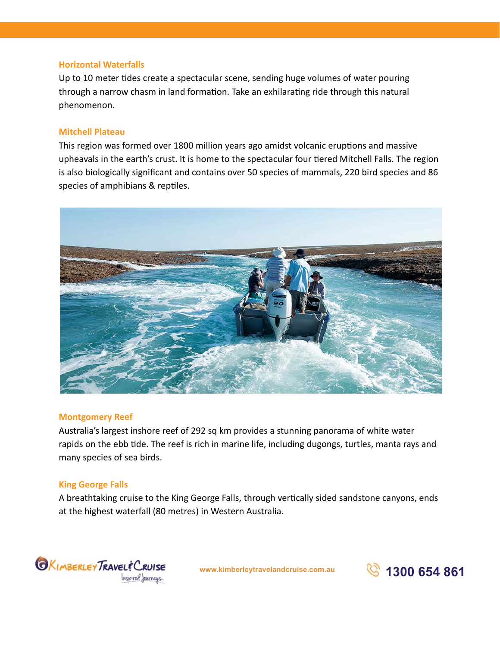### **Horizontal Waterfalls**

Up to 10 meter tides create a spectacular scene, sending huge volumes of water pouring through a narrow chasm in land formation. Take an exhilarating ride through this natural phenomenon.

### **Mitchell Plateau**

This region was formed over 1800 million years ago amidst volcanic eruptions and massive upheavals in the earth's crust. It is home to the spectacular four tiered Mitchell Falls. The region is also biologically significant and contains over 50 species of mammals, 220 bird species and 86 species of amphibians & reptiles.



#### **Montgomery Reef**

Australia's largest inshore reef of 292 sq km provides a stunning panorama of white water rapids on the ebb tide. The reef is rich in marine life, including dugongs, turtles, manta rays and many species of sea birds.

### **King George Falls**

A breathtaking cruise to the King George Falls, through vertically sided sandstone canyons, ends at the highest waterfall (80 metres) in Western Australia.



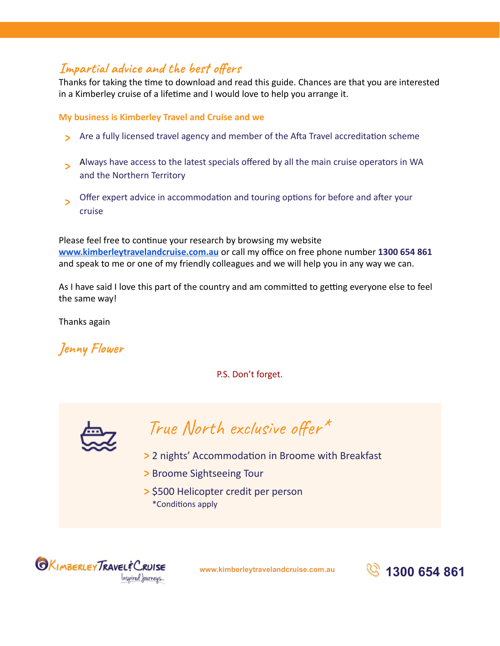### Impartial advice and the best offers

Thanks for taking the time to download and read this guide. Chances are that you are interested in a Kimberley cruise of a lifetime and I would love to help you arrange it.

### **My business is Kimberley Travel and Cruise and we**

- **>** Are a fully licensed travel agency and member of the Afta Travel accreditation scheme
- **Always have access to the latest specials offered by all the main cruise operators in WA** and the Northern Territory
- **Offer expert advice in accommodation and touring options for before and after your** cruise

Please feel free to continue your research by browsing my website **[www.kimberleytravelandcruise.com.au](http://www.kimberleytravelandcruise.com.au/)** or call my office on free phone number **1300 654 861**  and speak to me or one of my friendly colleagues and we will help you in any way we can.

As I have said I love this part of the country and am committed to getting everyone else to feel the same way!

Thanks again

**Jenny Flower** 

P.S. Don't forget.



True North exclusive offer<sup>\*</sup>

- > 2 nights' Accommodation in Broome with Breakfast
- **>** Broome Sightseeing Tour
- **>** \$500 Helicopter credit per person \*Conditions apply